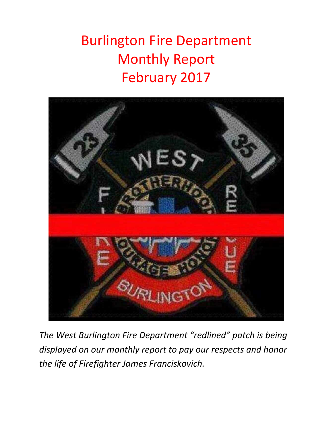Burlington Fire Department Monthly Report February 2017



*The West Burlington Fire Department "redlined" patch is being displayed on our monthly report to pay our respects and honor the life of Firefighter James Franciskovich.*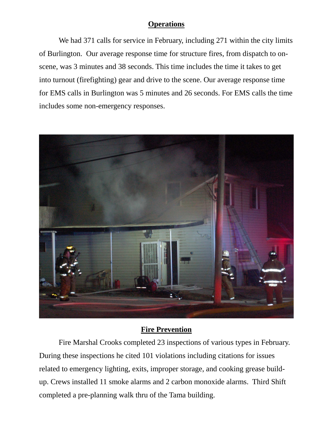### **Operations**

We had 371 calls for service in February, including 271 within the city limits of Burlington. Our average response time for structure fires, from dispatch to onscene, was 3 minutes and 38 seconds. This time includes the time it takes to get into turnout (firefighting) gear and drive to the scene. Our average response time for EMS calls in Burlington was 5 minutes and 26 seconds. For EMS calls the time includes some non-emergency responses.



### **Fire Prevention**

Fire Marshal Crooks completed 23 inspections of various types in February. During these inspections he cited 101 violations including citations for issues related to emergency lighting, exits, improper storage, and cooking grease buildup. Crews installed 11 smoke alarms and 2 carbon monoxide alarms. Third Shift completed a pre-planning walk thru of the Tama building.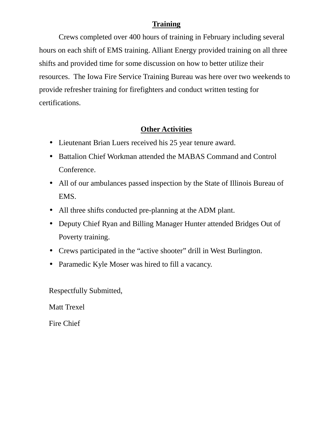### **Training**

 Crews completed over 400 hours of training in February including several hours on each shift of EMS training. Alliant Energy provided training on all three shifts and provided time for some discussion on how to better utilize their resources. The Iowa Fire Service Training Bureau was here over two weekends to provide refresher training for firefighters and conduct written testing for certifications.

### **Other Activities**

- Lieutenant Brian Luers received his 25 year tenure award.
- Battalion Chief Workman attended the MABAS Command and Control Conference.
- All of our ambulances passed inspection by the State of Illinois Bureau of EMS.
- All three shifts conducted pre-planning at the ADM plant.
- Deputy Chief Ryan and Billing Manager Hunter attended Bridges Out of Poverty training.
- Crews participated in the "active shooter" drill in West Burlington.
- Paramedic Kyle Moser was hired to fill a vacancy.

Respectfully Submitted,

Matt Trexel

Fire Chief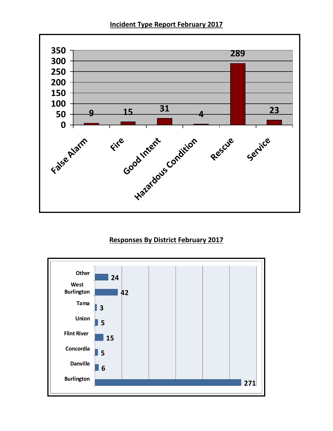**Incident Type Report February 2017** 



### **Responses By District February 2017**

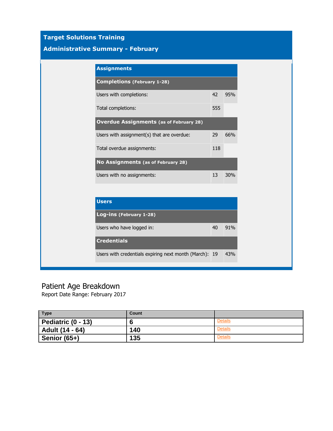## **Target Solutions Training**

### **Administrative Summary - February**

| <b>Assignments</b>                             |     |                 |
|------------------------------------------------|-----|-----------------|
| <b>Completions (February 1-28)</b>             |     |                 |
| Users with completions:                        | 42  | 95%             |
| Total completions:                             | 555 |                 |
| <b>Overdue Assignments (as of February 28)</b> |     |                 |
| Users with assignment(s) that are overdue:     | 29  | 66%             |
| Total overdue assignments:                     | 118 |                 |
| No Assignments (as of February 28)             |     |                 |
| Users with no assignments:                     | 13  | 30 <sub>%</sub> |

| <b>Users</b>                                           |    |     |
|--------------------------------------------------------|----|-----|
| Log-ins (February 1-28)                                |    |     |
| Users who have logged in:                              | 40 | 91% |
| <b>Credentials</b>                                     |    |     |
| Users with credentials expiring next month (March): 19 |    | 43% |

#### Patient Age Breakdown

Report Date Range: February 2017

| <b>Type</b>        | Count |                |
|--------------------|-------|----------------|
| Pediatric (0 - 13) | O     | <b>Details</b> |
| Adult (14 - 64)    | 140   | <b>Details</b> |
| Senior $(65+)$     | 135   | <b>Details</b> |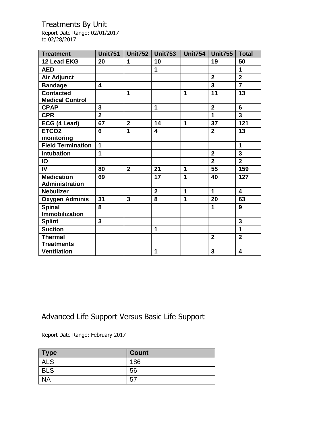### Treatments By Unit

Report Date Range: 02/01/2017 to 02/28/2017

| <b>Treatment</b>                           | <b>Unit751</b>          | Unit752        | <b>Unit753</b> | Unit754      | <b>Unit755</b>          | <b>Total</b>            |
|--------------------------------------------|-------------------------|----------------|----------------|--------------|-------------------------|-------------------------|
| 12 Lead EKG                                | 20                      | 1              | 10             |              | 19                      | 50                      |
| <b>AED</b>                                 |                         |                | 1              |              |                         | 1                       |
| Air Adjunct                                |                         |                |                |              | $\overline{2}$          | $\overline{2}$          |
| <b>Bandage</b>                             | $\overline{\mathbf{4}}$ |                |                |              | $\mathbf{3}$            | $\overline{7}$          |
| <b>Contacted</b><br><b>Medical Control</b> |                         | 1              |                | 1            | 11                      | 13                      |
| <b>CPAP</b>                                | 3                       |                | 1              |              | $\overline{2}$          | 6                       |
| <b>CPR</b>                                 | $\overline{2}$          |                |                |              | 1                       | $\overline{3}$          |
| ECG (4 Lead)                               | 67                      | $\overline{2}$ | 14             | $\mathbf 1$  | 37                      | 121                     |
| ETCO <sub>2</sub><br>monitoring            | 6                       | 1              | 4              |              | $\mathbf{2}$            | 13                      |
| <b>Field Termination</b>                   | 1                       |                |                |              |                         | 1                       |
| <b>Intubation</b>                          | 1                       |                |                |              | $\overline{2}$          | $\overline{3}$          |
| IO                                         |                         |                |                |              | $\overline{2}$          | $\overline{2}$          |
| IV                                         | 80                      | $\overline{2}$ | 21             | 1            | 55                      | 159                     |
| <b>Medication</b><br><b>Administration</b> | 69                      |                | 17             | 1            | 40                      | 127                     |
| <b>Nebulizer</b>                           |                         |                | $\overline{2}$ | $\mathbf{1}$ | $\overline{\mathbf{1}}$ | $\overline{\mathbf{4}}$ |
| <b>Oxygen Adminis</b>                      | 31                      | 3              | 8              | $\mathbf 1$  | 20                      | 63                      |
| <b>Spinal</b>                              | 8                       |                |                |              | 1                       | 9                       |
| <b>Immobilization</b>                      |                         |                |                |              |                         |                         |
| <b>Splint</b>                              | 3                       |                |                |              |                         | $\overline{3}$          |
| <b>Suction</b>                             |                         |                | $\mathbf 1$    |              |                         | 1                       |
| <b>Thermal</b>                             |                         |                |                |              | $\overline{2}$          | $\overline{2}$          |
| <b>Treatments</b>                          |                         |                |                |              |                         |                         |
| <b>Ventilation</b>                         |                         |                | 1              |              | $\overline{\mathbf{3}}$ | 4                       |

# Advanced Life Support Versus Basic Life Support

Report Date Range: February 2017

| Type       | <b>Count</b> |
|------------|--------------|
| <b>ALS</b> | 186          |
| <b>BLS</b> | 56           |
| <b>NA</b>  | 57           |